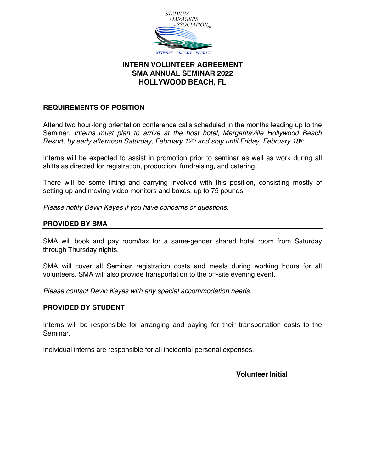

# **INTERN VOLUNTEER AGREEMENT SMA ANNUAL SEMINAR 2022 HOLLYWOOD BEACH, FL**

## **REQUIREMENTS OF POSITION**

Attend two hour-long orientation conference calls scheduled in the months leading up to the Seminar. *Interns must plan to arrive at the host hotel, Margaritaville Hollywood Beach Resort, by early afternoon Saturday, February 12th and stay until Friday, February 18th.*

Interns will be expected to assist in promotion prior to seminar as well as work during all shifts as directed for registration, production, fundraising, and catering.

There will be some lifting and carrying involved with this position, consisting mostly of setting up and moving video monitors and boxes, up to 75 pounds.

*Please notify Devin Keyes if you have concerns or questions.*

## **PROVIDED BY SMA**

SMA will book and pay room/tax for a same-gender shared hotel room from Saturday through Thursday nights.

SMA will cover all Seminar registration costs and meals during working hours for all volunteers. SMA will also provide transportation to the off-site evening event.

*Please contact Devin Keyes with any special accommodation needs.*

### **PROVIDED BY STUDENT**

Interns will be responsible for arranging and paying for their transportation costs to the Seminar.

Individual interns are responsible for all incidental personal expenses.

**Volunteer Initial\_\_\_\_\_\_\_\_\_**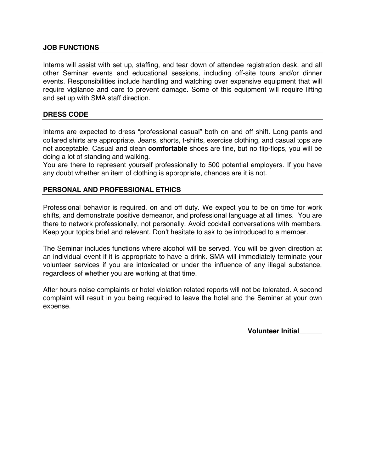#### **JOB FUNCTIONS**

Interns will assist with set up, staffing, and tear down of attendee registration desk, and all other Seminar events and educational sessions, including off-site tours and/or dinner events. Responsibilities include handling and watching over expensive equipment that will require vigilance and care to prevent damage. Some of this equipment will require lifting and set up with SMA staff direction.

### **DRESS CODE**

Interns are expected to dress "professional casual" both on and off shift. Long pants and collared shirts are appropriate. Jeans, shorts, t-shirts, exercise clothing, and casual tops are not acceptable. Casual and clean **comfortable** shoes are fine, but no flip-flops, you will be doing a lot of standing and walking.

You are there to represent yourself professionally to 500 potential employers. If you have any doubt whether an item of clothing is appropriate, chances are it is not.

#### **PERSONAL AND PROFESSIONAL ETHICS**

Professional behavior is required, on and off duty. We expect you to be on time for work shifts, and demonstrate positive demeanor, and professional language at all times. You are there to network professionally, not personally. Avoid cocktail conversations with members. Keep your topics brief and relevant. Don't hesitate to ask to be introduced to a member.

The Seminar includes functions where alcohol will be served. You will be given direction at an individual event if it is appropriate to have a drink. SMA will immediately terminate your volunteer services if you are intoxicated or under the influence of any illegal substance, regardless of whether you are working at that time.

After hours noise complaints or hotel violation related reports will not be tolerated. A second complaint will result in you being required to leave the hotel and the Seminar at your own expense.

**Volunteer Initial\_\_\_\_\_\_**